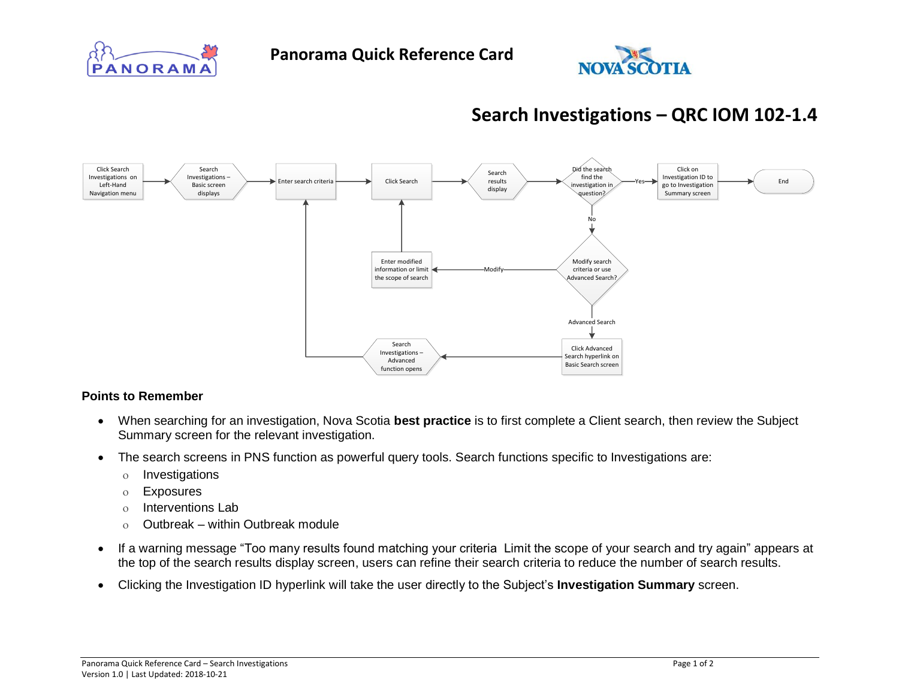



## **Search Investigations – QRC IOM 102-1.4**



## **Points to Remember**

- When searching for an investigation, Nova Scotia **best practice** is to first complete a Client search, then review the Subject Summary screen for the relevant investigation.
- The search screens in PNS function as powerful query tools. Search functions specific to Investigations are:
	- o Investigations
	- Exposures
	- o Interventions Lab
	- $\circ$  Outbreak within Outbreak module
- If a warning message "Too many results found matching your criteria Limit the scope of your search and try again" appears at the top of the search results display screen, users can refine their search criteria to reduce the number of search results.
- Clicking the Investigation ID hyperlink will take the user directly to the Subject's **Investigation Summary** screen.